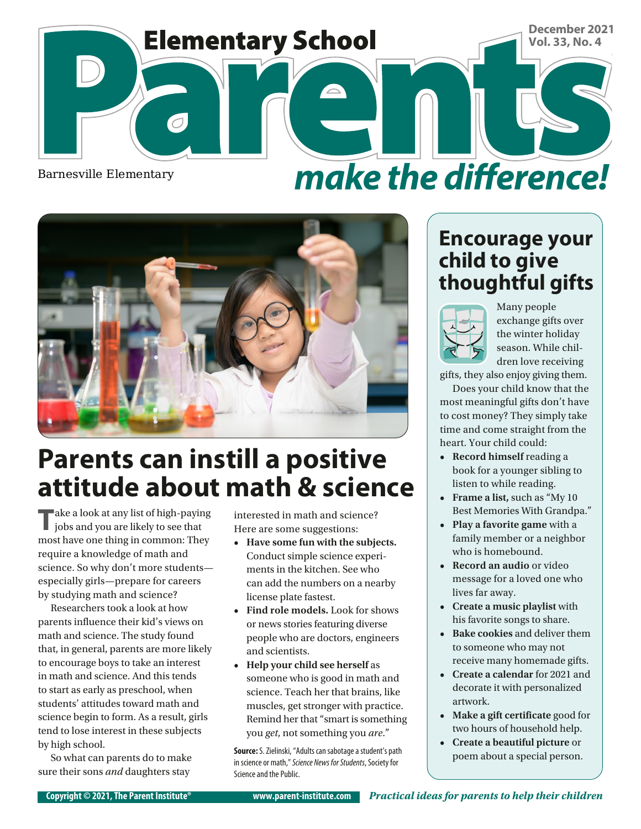



## **Parents can instill a positive attitude about math & science**

**T**ake a look at any list of high-paying jobs and you are likely to see that most have one thing in common: They require a knowledge of math and science. So why don't more students especially girls—prepare for careers by studying math and science?

Researchers took a look at how parents influence their kid's views on math and science. The study found that, in general, parents are more likely to encourage boys to take an interest in math and science. And this tends to start as early as preschool, when students' attitudes toward math and science begin to form. As a result, girls tend to lose interest in these subjects by high school.

So what can parents do to make sure their sons *and* daughters stay

interested in math and science? Here are some suggestions:

- **• Have some fun with the subjects.**  Conduct simple science experiments in the kitchen. See who can add the numbers on a nearby license plate fastest.
- **• Find role models.** Look for shows or news stories featuring diverse people who are doctors, engineers and scientists.
- **• Help your child see herself** as someone who is good in math and science. Teach her that brains, like muscles, get stronger with practice. Remind her that "smart is something you *get*, not something you *are*."

**Source:** S. Zielinski, "Adults can sabotage a student's path in science or math," *Science News for Students*, Society for Science and the Public.

#### **Encourage your child to give thoughtful gifts**



Many people exchange gifts over the winter holiday season. While children love receiving

gifts, they also enjoy giving them. Does your child know that the most meaningful gifts don't have to cost money? They simply take time and come straight from the heart. Your child could:

- **• Record himself** reading a book for a younger sibling to listen to while reading.
- **• Frame a list,** such as "My 10 Best Memories With Grandpa."
- **• Play a favorite game** with a family member or a neighbor who is homebound.
- **• Record an audio** or video message for a loved one who lives far away.
- **• Create a music playlist** with his favorite songs to share.
- **• Bake cookies** and deliver them to someone who may not receive many homemade gifts.
- **• Create a calendar** for 2021 and decorate it with personalized artwork.
- **• Make a gift certificate** good for two hours of household help.
- **• Create a beautiful picture** or poem about a special person.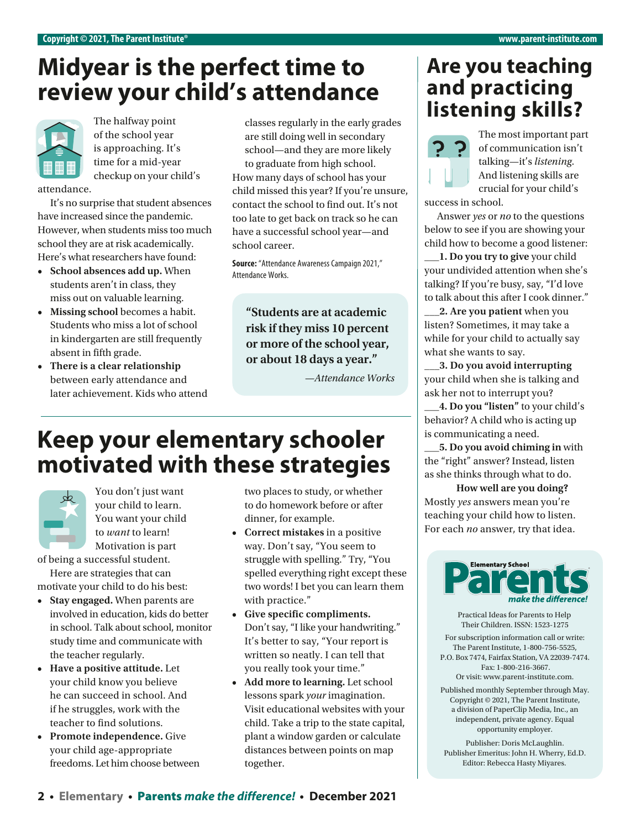## **Midyear is the perfect time to review your child's attendance**



of the school year is approaching. It's time for a mid-year checkup on your child's

attendance.

It's no surprise that student absences have increased since the pandemic. However, when students miss too much school they are at risk academically. Here's what researchers have found:

- **• School absences add up.** When students aren't in class, they miss out on valuable learning.
- **• Missing school** becomes a habit. Students who miss a lot of school in kindergarten are still frequently absent in fifth grade.
- **• There is a clear relationship** between early attendance and later achievement. Kids who attend

classes regularly in the early grades are still doing well in secondary school—and they are more likely to graduate from high school. How many days of school has your child missed this year? If you're unsure, contact the school to find out. It's not too late to get back on track so he can have a successful school year—and school career.

**Source:** "Attendance Awareness Campaign 2021," Attendance Works.

**"Students are at academic risk if they miss 10 percent or more of the school year, or about 18 days a year."**

*—Attendance Works*

### **Keep your elementary schooler motivated with these strategies**



You don't just want your child to learn. You want your child to *want* to learn! Motivation is part

of being a successful student. Here are strategies that can motivate your child to do his best:

- **• Stay engaged.** When parents are involved in education, kids do better in school. Talk about school, monitor study time and communicate with the teacher regularly.
- **• Have a positive attitude.** Let your child know you believe he can succeed in school. And if he struggles, work with the teacher to find solutions.
- **• Promote independence.** Give your child age-appropriate freedoms. Let him choose between

two places to study, or whether to do homework before or after dinner, for example.

- **• Correct mistakes** in a positive way. Don't say, "You seem to struggle with spelling." Try, "You spelled everything right except these two words! I bet you can learn them with practice."
- **• Give specific compliments.** Don't say, "I like your handwriting." It's better to say, "Your report is written so neatly. I can tell that you really took your time."
- **• Add more to learning.** Let school lessons spark *your* imagination. Visit educational websites with your child. Take a trip to the state capital, plant a window garden or calculate distances between points on map together.

#### **Are you teaching and practicing**  The halfway point classes regularly in the early grades **listening skills?**



The most important part of communication isn't talking—it's *listening*. And listening skills are crucial for your child's

success in school.

Answer *yes* or *no* to the questions below to see if you are showing your child how to become a good listener:

**\_\_\_1. Do you try to give** your child your undivided attention when she's talking? If you're busy, say, "I'd love to talk about this after I cook dinner."

**\_\_\_2. Are you patient** when you listen? Sometimes, it may take a while for your child to actually say what she wants to say.

**\_\_\_3. Do you avoid interrupting** your child when she is talking and ask her not to interrupt you?

**\_\_\_4. Do you "listen"** to your child's behavior? A child who is acting up is communicating a need.

**\_\_\_5. Do you avoid chiming in** with the "right" answer? Instead, listen as she thinks through what to do.

**How well are you doing?**  Mostly *yes* answers mean you're teaching your child how to listen. For each *no* answer, try that idea.



Practical Ideas for Parents to Help Their Children. ISSN: 1523-1275

For subscription information call or write: The Parent Institute, 1-800-756-5525, P.O. Box 7474, Fairfax Station, VA 22039-7474. Fax: 1-800-216-3667.

Or visit: www.parent-institute.com.

Published monthly September through May. Copyright © 2021, The Parent Institute, a division of PaperClip Media, Inc., an independent, private agency. Equal opportunity employer.

Publisher: Doris McLaughlin. Publisher Emeritus: John H. Wherry, Ed.D. Editor: Rebecca Hasty Miyares.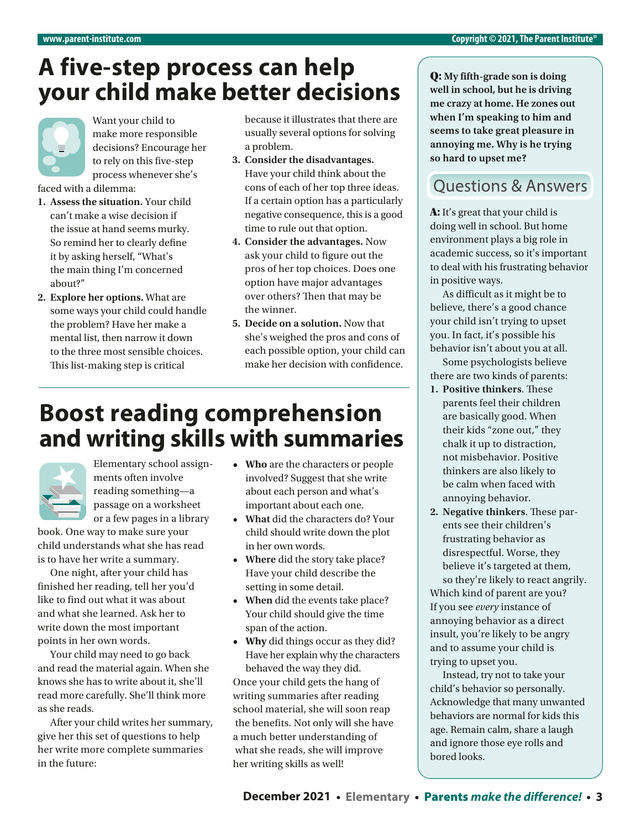## **A five-step process can help your child make better decisions**



Want your child to make more responsible decisions? Encourage her to rely on this five-step process whenever she's

faced with a dilemma:

- **1. Assess the situation.** Your child can't make a wise decision if the issue at hand seems murky. So remind her to clearly defne it by asking herself, "What's the main thing I'm concerned about?"
- **2. Explore her options.** What are some ways your child could handle the problem? Have her make a mental list, then narrow it down to the three most sensible choices. This list-making step is critical

because it illustrates that there are usually several options for solving a problem.

- **3. Consider the disadvantages.**  Have your child think about the cons of each of her top three ideas. If a certain option has a particularly negative consequence, this is a good time to rule out that option.
- **4. Consider the advantages.** Now ask your child to fgure out the pros of her top choices. Does one option have major advantages over others? Then that may be the winner.
- **5. Decide on a solution.** Now that she's weighed the pros and cons of each possible option, your child can make her decision with confdence.

### **Boost reading comprehension and writing skills with summaries**



Elementary school assignments often involve reading something—a passage on a worksheet or a few pages in a library

book. One way to make sure your child understands what she has read is to have her write a summary.

One night, after your child has finished her reading, tell her you'd like to find out what it was about and what she learned. Ask her to write down the most important points in her own words.

Your child may need to go back and read the material again. When she knows she has to write about it, she'll read more carefully. She'll think more as she reads.

After your child writes her summary, give her this set of questions to help her write more complete summaries in the future:

- **• Who** are the characters or people involved? Suggest that she write about each person and what's important about each one.
- **• What** did the characters do? Your child should write down the plot in her own words.
- **• Where** did the story take place? Have your child describe the setting in some detail.
- **• When** did the events take place? Your child should give the time span of the action.
- **• Why** did things occur as they did? Have her explain why the characters behaved the way they did.

Once your child gets the hang of writing summaries after reading school material, she will soon reap the benefits. Not only will she have a much better understanding of what she reads, she will improve her writing skills as well!

Q: **My fifth-grade son is doing well in school, but he is driving me crazy at home. He zones out when I'm speaking to him and seems to take great pleasure in annoying me. Why is he trying so hard to upset me?**

#### **Ouestions & Answers**

A: It's great that your child is doing well in school. But home environment plays a big role in academic success, so it's important to deal with his frustrating behavior in positive ways.

As difficult as it might be to believe, there's a good chance your child isn't trying to upset you. In fact, it's possible his behavior isn't about you at all.

Some psychologists believe there are two kinds of parents:

- **1. Positive thinkers**. These parents feel their children are basically good. When their kids "zone out," they chalk it up to distraction, not misbehavior. Positive thinkers are also likely to be calm when faced with annoying behavior.
- **2. Negative thinkers**. These parents see their children's frustrating behavior as disrespectful. Worse, they believe it's targeted at them, so they're likely to react angrily. Which kind of parent are you? If you see *every* instance of annoying behavior as a direct insult, you're likely to be angry and to assume your child is trying to upset you.

Instead, try not to take your child's behavior so personally. Acknowledge that many unwanted behaviors are normal for kids this age. Remain calm, share a laugh and ignore those eye rolls and bored looks.